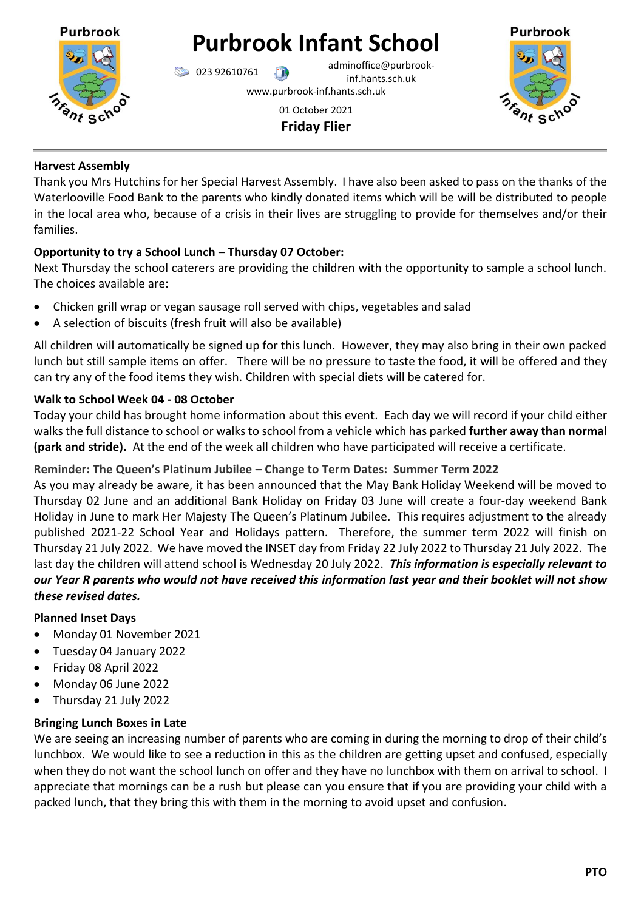

# **Purbrook Infant School**

023 92610761 adminoffice@purbrookinf.hants.sch.uk

www.purbrook-inf.hants.sch.uk





### **Harvest Assembly**

Thank you Mrs Hutchins for her Special Harvest Assembly. I have also been asked to pass on the thanks of the Waterlooville Food Bank to the parents who kindly donated items which will be will be distributed to people in the local area who, because of a crisis in their lives are struggling to provide for themselves and/or their families.

# **Opportunity to try a School Lunch – Thursday 07 October:**

Next Thursday the school caterers are providing the children with the opportunity to sample a school lunch. The choices available are:

- Chicken grill wrap or vegan sausage roll served with chips, vegetables and salad
- A selection of biscuits (fresh fruit will also be available)

All children will automatically be signed up for this lunch. However, they may also bring in their own packed lunch but still sample items on offer. There will be no pressure to taste the food, it will be offered and they can try any of the food items they wish. Children with special diets will be catered for.

# **Walk to School Week 04 - 08 October**

Today your child has brought home information about this event. Each day we will record if your child either walks the full distance to school or walks to school from a vehicle which has parked **further away than normal (park and stride).** At the end of the week all children who have participated will receive a certificate.

# **Reminder: The Queen's Platinum Jubilee – Change to Term Dates: Summer Term 2022**

As you may already be aware, it has been announced that the May Bank Holiday Weekend will be moved to Thursday 02 June and an additional Bank Holiday on Friday 03 June will create a four-day weekend Bank Holiday in June to mark Her Majesty The Queen's Platinum Jubilee. This requires adjustment to the already published 2021-22 School Year and Holidays pattern. Therefore, the summer term 2022 will finish on Thursday 21 July 2022. We have moved the INSET day from Friday 22 July 2022 to Thursday 21 July 2022. The last day the children will attend school is Wednesday 20 July 2022. *This information is especially relevant to our Year R parents who would not have received this information last year and their booklet will not show these revised dates.*

## **Planned Inset Days**

- Monday 01 November 2021
- Tuesday 04 January 2022
- Friday 08 April 2022
- Monday 06 June 2022
- Thursday 21 July 2022

## **Bringing Lunch Boxes in Late**

We are seeing an increasing number of parents who are coming in during the morning to drop of their child's lunchbox. We would like to see a reduction in this as the children are getting upset and confused, especially when they do not want the school lunch on offer and they have no lunchbox with them on arrival to school. I appreciate that mornings can be a rush but please can you ensure that if you are providing your child with a packed lunch, that they bring this with them in the morning to avoid upset and confusion.